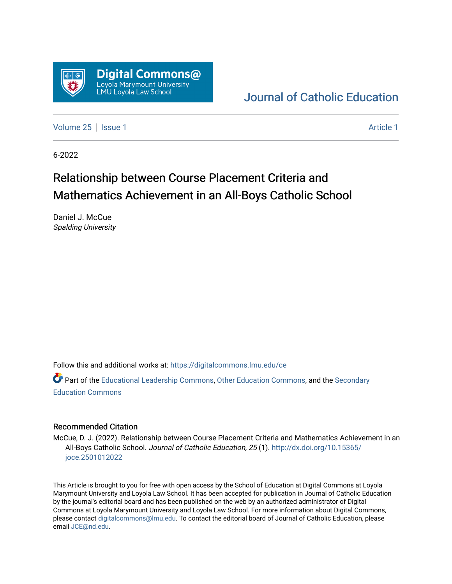

# [Journal of Catholic Education](https://digitalcommons.lmu.edu/ce)

[Volume 25](https://digitalcommons.lmu.edu/ce/vol25) | [Issue 1](https://digitalcommons.lmu.edu/ce/vol25/iss1) [Article 1](https://digitalcommons.lmu.edu/ce/vol25/iss1/1) Article 1 Article 1 Article 1 Article 1 Article 1 Article 1 Article 1

6-2022

# Relationship between Course Placement Criteria and Mathematics Achievement in an All-Boys Catholic School

Daniel J. McCue Spalding University

Follow this and additional works at: [https://digitalcommons.lmu.edu/ce](https://digitalcommons.lmu.edu/ce?utm_source=digitalcommons.lmu.edu%2Fce%2Fvol25%2Fiss1%2F1&utm_medium=PDF&utm_campaign=PDFCoverPages)

Part of the [Educational Leadership Commons,](https://network.bepress.com/hgg/discipline/1230?utm_source=digitalcommons.lmu.edu%2Fce%2Fvol25%2Fiss1%2F1&utm_medium=PDF&utm_campaign=PDFCoverPages) [Other Education Commons,](https://network.bepress.com/hgg/discipline/811?utm_source=digitalcommons.lmu.edu%2Fce%2Fvol25%2Fiss1%2F1&utm_medium=PDF&utm_campaign=PDFCoverPages) and the [Secondary](https://network.bepress.com/hgg/discipline/1382?utm_source=digitalcommons.lmu.edu%2Fce%2Fvol25%2Fiss1%2F1&utm_medium=PDF&utm_campaign=PDFCoverPages)  [Education Commons](https://network.bepress.com/hgg/discipline/1382?utm_source=digitalcommons.lmu.edu%2Fce%2Fvol25%2Fiss1%2F1&utm_medium=PDF&utm_campaign=PDFCoverPages) 

# Recommended Citation

McCue, D. J. (2022). Relationship between Course Placement Criteria and Mathematics Achievement in an All-Boys Catholic School. Journal of Catholic Education, 25 (1). [http://dx.doi.org/10.15365/](http://dx.doi.org/10.15365/joce.2501012022) [joce.2501012022](http://dx.doi.org/10.15365/joce.2501012022) 

This Article is brought to you for free with open access by the School of Education at Digital Commons at Loyola Marymount University and Loyola Law School. It has been accepted for publication in Journal of Catholic Education by the journal's editorial board and has been published on the web by an authorized administrator of Digital Commons at Loyola Marymount University and Loyola Law School. For more information about Digital Commons, please contact [digitalcommons@lmu.edu](mailto:digitalcommons@lmu.edu). To contact the editorial board of Journal of Catholic Education, please email [JCE@nd.edu](mailto:JCE@nd.edu).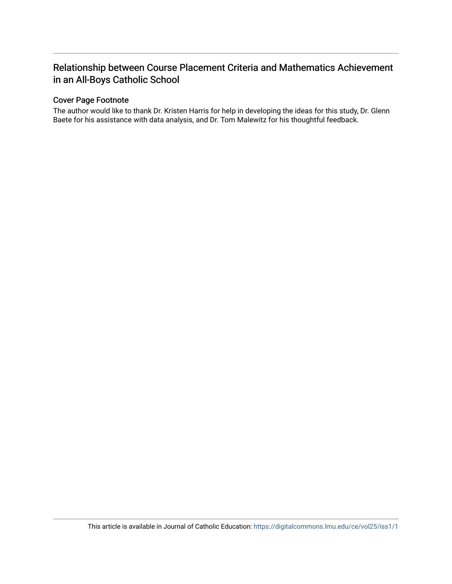# Relationship between Course Placement Criteria and Mathematics Achievement in an All-Boys Catholic School

# Cover Page Footnote

The author would like to thank Dr. Kristen Harris for help in developing the ideas for this study, Dr. Glenn Baete for his assistance with data analysis, and Dr. Tom Malewitz for his thoughtful feedback.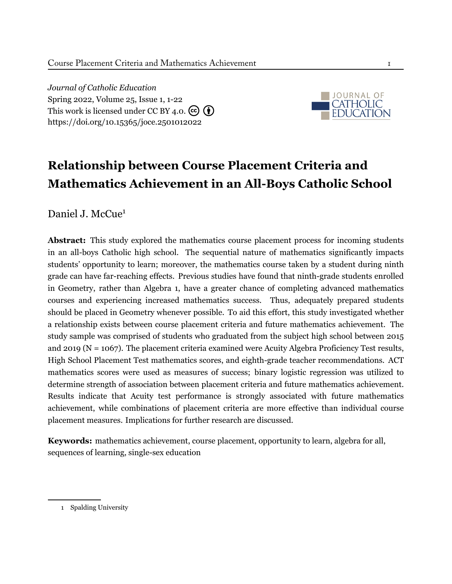*Journal of Catholic Education* Spring 2022, Volume 25, Issue 1, 1-22 This work is licensed under CC BY 4.0.  $(c)$   $(i)$ <https://doi.org/10.15365/joce.2501012022>



# **Relationship between Course Placement Criteria and Mathematics Achievement in an All-Boys Catholic School**

Daniel J. McCue<sup>1</sup>

**Abstract:** This study explored the mathematics course placement process for incoming students in an all-boys Catholic high school. The sequential nature of mathematics significantly impacts students' opportunity to learn; moreover, the mathematics course taken by a student during ninth grade can have far-reaching effects. Previous studies have found that ninth-grade students enrolled in Geometry, rather than Algebra 1, have a greater chance of completing advanced mathematics courses and experiencing increased mathematics success. Thus, adequately prepared students should be placed in Geometry whenever possible. To aid this effort, this study investigated whether a relationship exists between course placement criteria and future mathematics achievement. The study sample was comprised of students who graduated from the subject high school between 2015 and 2019 (N = 1067). The placement criteria examined were Acuity Algebra Proficiency Test results, High School Placement Test mathematics scores, and eighth-grade teacher recommendations. ACT mathematics scores were used as measures of success; binary logistic regression was utilized to determine strength of association between placement criteria and future mathematics achievement. Results indicate that Acuity test performance is strongly associated with future mathematics achievement, while combinations of placement criteria are more effective than individual course placement measures. Implications for further research are discussed.

**Keywords:** mathematics achievement, course placement, opportunity to learn, algebra for all, sequences of learning, single-sex education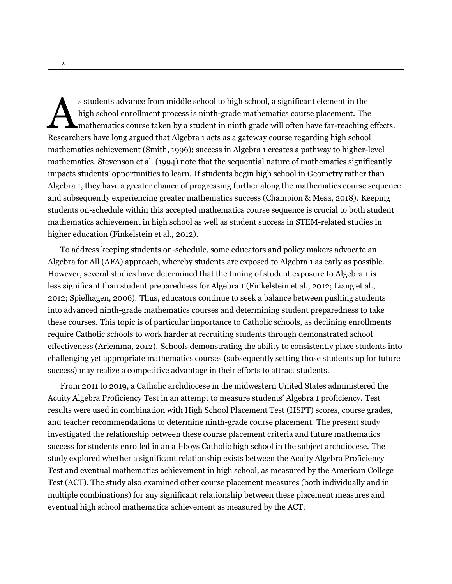s students advance from middle school to high school, a significant element in the<br>high school enrollment process is ninth-grade mathematics course placement. The<br>mathematics course taken by a student in ninth grade will o s students advance from middle school to high school, a significant element in the high school enrollment process is ninth-grade mathematics course placement. The mathematics course taken by a student in ninth grade will often have far-reaching effects. mathematics achievement [\(Smith](#page-18-0), [1996](#page-18-0)); success in Algebra 1 creates a pathway to higher-level mathematics. [Stevenson et al.](#page-18-1) ([1994\)](#page-18-1) note that the sequential nature of mathematics significantly impacts students' opportunities to learn. If students begin high school in Geometry rather than Algebra 1, they have a greater chance of progressing further along the mathematics course sequence and subsequently experiencing greater mathematics success [\(Champion & Mesa](#page-16-0), [2018\)](#page-16-0). Keeping students on-schedule within this accepted mathematics course sequence is crucial to both student mathematics achievement in high school as well as student success in STEM-related studies in higher education([Finkelstein et al., 2012\)](#page-17-0).

To address keeping students on-schedule, some educators and policy makers advocate an Algebra for All (AFA) approach, whereby students are exposed to Algebra 1 as early as possible. However, several studies have determined that the timing of student exposure to Algebra 1 is less significant than student preparedness for Algebra 1([Finkelstein et al.](#page-17-0), [2012](#page-17-0); [Liang et al.,](#page-18-2) [2012](#page-18-2); [Spielhagen](#page-18-3), [2006\)](#page-18-3). Thus, educators continue to seek a balance between pushing students into advanced ninth-grade mathematics courses and determining student preparedness to take these courses. This topic is of particular importance to Catholic schools, as declining enrollments require Catholic schools to work harder at recruiting students through demonstrated school effectiveness([Ariemma, 2012](#page-16-1)). Schools demonstrating the ability to consistently place students into challenging yet appropriate mathematics courses (subsequently setting those students up for future success) may realize a competitive advantage in their efforts to attract students.

From 2011 to 2019, a Catholic archdiocese in the midwestern United States administered the Acuity Algebra Proficiency Test in an attempt to measure students' Algebra 1 proficiency. Test results were used in combination with High School Placement Test (HSPT) scores, course grades, and teacher recommendations to determine ninth-grade course placement. The present study investigated the relationship between these course placement criteria and future mathematics success for students enrolled in an all-boys Catholic high school in the subject archdiocese. The study explored whether a significant relationship exists between the Acuity Algebra Proficiency Test and eventual mathematics achievement in high school, as measured by the American College Test (ACT). The study also examined other course placement measures (both individually and in multiple combinations) for any significant relationship between these placement measures and eventual high school mathematics achievement as measured by the ACT.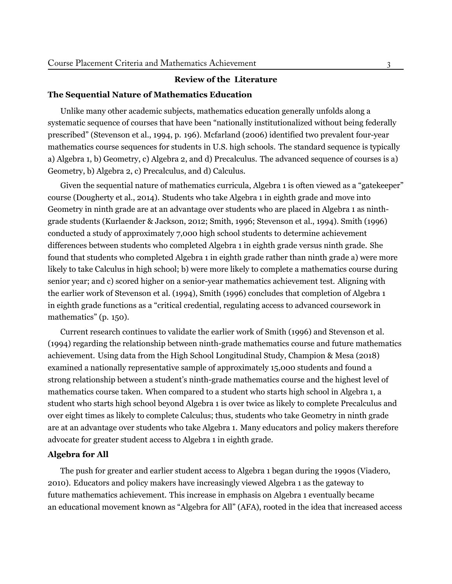# **Review of the Literature**

#### **The Sequential Nature of Mathematics Education**

Unlike many other academic subjects, mathematics education generally unfolds along a systematic sequence of courses that have been "nationally institutionalized without being federally prescribed" (Stevenson et al., 1994, p. 196). [Mcfarland](#page-18-4) [\(2006](#page-18-4)) identified two prevalent four-year mathematics course sequences for students in U.S. high schools. The standard sequence is typically a) Algebra 1, b) Geometry, c) Algebra 2, and d) Precalculus. The advanced sequence of courses is a) Geometry, b) Algebra 2, c) Precalculus, and d) Calculus.

Given the sequential nature of mathematics curricula, Algebra 1 is often viewed as a "gatekeeper" course [\(Dougherty](#page-17-1) et al., [2014](#page-17-1)). Students who take Algebra 1 in eighth grade and move into Geometry in ninth grade are at an advantage over students who are placed in Algebra 1 as ninthgrade students [\(Kurlaender](#page-18-5) & Jackson, [2012](#page-18-5); [Smith](#page-18-0), [1996](#page-18-0); [Stevenson](#page-18-1) et al., [1994](#page-18-1)). [Smith](#page-18-0) ([1996\)](#page-18-0) conducted a study of approximately 7,000 high school students to determine achievement differences between students who completed Algebra 1 in eighth grade versus ninth grade. She found that students who completed Algebra 1 in eighth grade rather than ninth grade a) were more likely to take Calculus in high school; b) were more likely to complete a mathematics course during senior year; and c) scored higher on a senior-year mathematics achievement test. Aligning with the earlier work of [Stevenson](#page-18-1) et al. ([1994\)](#page-18-1), [Smith](#page-18-0) [\(1996](#page-18-0)) concludes that completion of Algebra 1 in eighth grade functions as a "critical credential, regulating access to advanced coursework in mathematics" (p. 150).

Current research continues to validate the earlier work of [Smith](#page-18-0) ([1996](#page-18-0)) and [Stevenson](#page-18-1) et al. ([1994](#page-18-1)) regarding the relationship between ninth-grade mathematics course and future mathematics achievement. Using data from the High School Longitudinal Study, [Champion](#page-16-0) & Mesa [\(2018](#page-16-0)) examined a nationally representative sample of approximately 15,000 students and found a strong relationship between a student's ninth-grade mathematics course and the highest level of mathematics course taken. When compared to a student who starts high school in Algebra 1, a student who starts high school beyond Algebra 1 is over twice as likely to complete Precalculus and over eight times as likely to complete Calculus; thus, students who take Geometry in ninth grade are at an advantage over students who take Algebra 1. Many educators and policy makers therefore advocate for greater student access to Algebra 1 in eighth grade.

# **Algebra for All**

The push for greater and earlier student access to Algebra 1 began during the 1990s (Viadero, 2010). Educators and policy makers have increasingly viewed Algebra 1 as the gateway to future mathematics achievement. This increase in emphasis on Algebra 1 eventually became an educational movement known as "Algebra for All" (AFA), rooted in the idea that increased access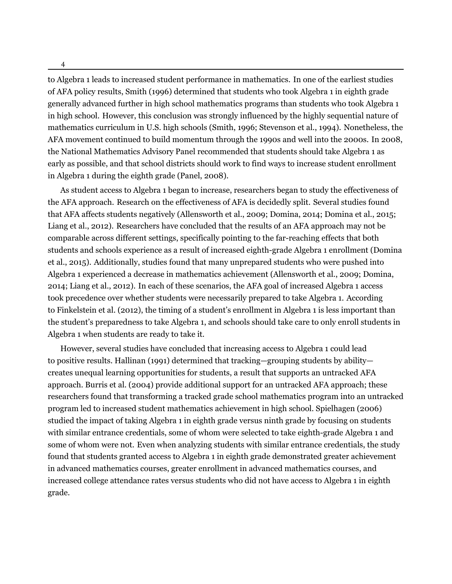to Algebra 1 leads to increased student performance in mathematics. In one of the earliest studies of AFA policy results, [Smith](#page-18-0) ([1996\)](#page-18-0) determined that students who took Algebra 1 in eighth grade generally advanced further in high school mathematics programs than students who took Algebra 1 in high school. However, this conclusion was strongly influenced by the highly sequential nature of mathematics curriculum in U.S. high schools [\(Smith, 1996](#page-18-0); [Stevenson et al., 1994](#page-18-1)). Nonetheless, the AFA movement continued to build momentum through the 1990s and well into the 2000s. In 2008, the National Mathematics Advisory Panel recommended that students should take Algebra 1 as early as possible, and that school districts should work to find ways to increase student enrollment in Algebra 1 during the eighth grade [\(Panel](#page-18-6), [2008\)](#page-18-6).

As student access to Algebra 1 began to increase, researchers began to study the effectiveness of the AFA approach. Research on the effectiveness of AFA is decidedly split. Several studies found that AFA affects students negatively [\(Allensworth et al.](#page-16-2), [2009;](#page-16-2) [Domina](#page-16-3), [2014;](#page-16-3) [Domina et al.](#page-17-2), [2015](#page-17-2); [Liang et al., 2012](#page-18-2)). Researchers have concluded that the results of an AFA approach may not be comparable across different settings, specifically pointing to the far-reaching effects that both students and schools experience as a result of increased eighth-grade Algebra 1 enrollment([Domina](#page-17-2) [et al.](#page-17-2), [2015\)](#page-17-2). Additionally, studies found that many unprepared students who were pushed into Algebra 1 experienced a decrease in mathematics achievement [\(Allensworth et al., 2009;](#page-16-2) [Domina,](#page-16-3) [2014](#page-16-3); [Liang et al., 2012\)](#page-18-2). In each of these scenarios, the AFA goal of increased Algebra 1 access took precedence over whether students were necessarily prepared to take Algebra 1. According to [Finkelstein et al. \(2012](#page-17-0)), the timing of a student's enrollment in Algebra 1 is less important than the student's preparedness to take Algebra 1, and schools should take care to only enroll students in Algebra 1 when students are ready to take it.

However, several studies have concluded that increasing access to Algebra 1 could lead to positive results. [Hallinan \(1991\)](#page-17-3) determined that tracking—grouping students by ability creates unequal learning opportunities for students, a result that supports an untracked AFA approach. [Burris et al. \(2004\)](#page-16-4) provide additional support for an untracked AFA approach; these researchers found that transforming a tracked grade school mathematics program into an untracked program led to increased student mathematics achievement in high school. [Spielhagen](#page-18-3) ([2006](#page-18-3)) studied the impact of taking Algebra 1 in eighth grade versus ninth grade by focusing on students with similar entrance credentials, some of whom were selected to take eighth-grade Algebra 1 and some of whom were not. Even when analyzing students with similar entrance credentials, the study found that students granted access to Algebra 1 in eighth grade demonstrated greater achievement in advanced mathematics courses, greater enrollment in advanced mathematics courses, and increased college attendance rates versus students who did not have access to Algebra 1 in eighth grade.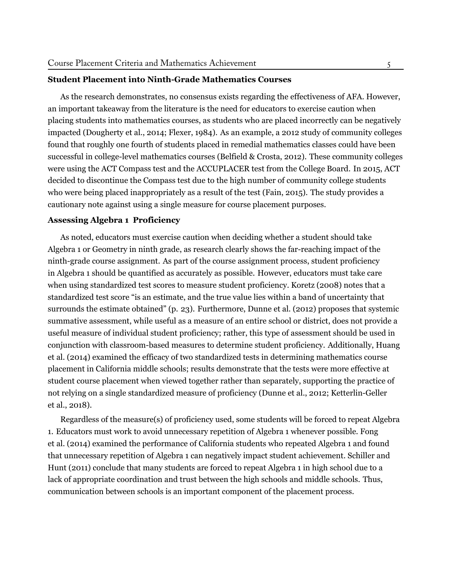#### **Student Placement into Ninth-Grade Mathematics Courses**

As the research demonstrates, no consensus exists regarding the effectiveness of AFA. However, an important takeaway from the literature is the need for educators to exercise caution when placing students into mathematics courses, as students who are placed incorrectly can be negatively impacted [\(Dougherty et al.](#page-17-1), [2014](#page-17-1); [Flexer, 1984\)](#page-17-4). As an example, a 2012 study of community colleges found that roughly one fourth of students placed in remedial mathematics classes could have been successful in college-level mathematics courses [\(Belfield & Crosta](#page-16-5), [2012\)](#page-16-5). These community colleges were using the ACT Compass test and the ACCUPLACER test from the College Board. In 2015, ACT decided to discontinue the Compass test due to the high number of community college students who were being placed inappropriately as a result of the test([Fain](#page-17-5), [2015](#page-17-5)). The study provides a cautionary note against using a single measure for course placement purposes.

#### **Assessing Algebra 1 Proficiency**

As noted, educators must exercise caution when deciding whether a student should take Algebra 1 or Geometry in ninth grade, as research clearly shows the far-reaching impact of the ninth-grade course assignment. As part of the course assignment process, student proficiency in Algebra 1 should be quantified as accurately as possible. However, educators must take care when using standardized test scores to measure student proficiency. [Koretz \(2008](#page-18-7)) notes that a standardized test score "is an estimate, and the true value lies within a band of uncertainty that surrounds the estimate obtained" (p. 23). Furthermore, [Dunne et al.](#page-17-6) ([2012](#page-17-6)) proposes that systemic summative assessment, while useful as a measure of an entire school or district, does not provide a useful measure of individual student proficiency; rather, this type of assessment should be used in conjunction with classroom-based measures to determine student proficiency. Additionally, [Huang](#page-17-7) [et al.](#page-17-7) ([2014](#page-17-7)) examined the efficacy of two standardized tests in determining mathematics course placement in California middle schools; results demonstrate that the tests were more effective at student course placement when viewed together rather than separately, supporting the practice of not relying on a single standardized measure of proficiency([Dunne et al.](#page-17-6), [2012](#page-17-6); [Ketterlin-Geller](#page-17-8) [et al.](#page-17-8), [2018\)](#page-17-8).

Regardless of the measure(s) of proficiency used, some students will be forced to repeat Algebra 1. Educators must work to avoid unnecessary repetition of Algebra 1 whenever possible. [Fong](#page-17-9) [et al.](#page-17-9) ([2014](#page-17-9)) examined the performance of California students who repeated Algebra 1 and found that unnecessary repetition of Algebra 1 can negatively impact student achievement. [Schiller and](#page-18-8) [Hunt](#page-18-8) ([2011](#page-18-8)) conclude that many students are forced to repeat Algebra 1 in high school due to a lack of appropriate coordination and trust between the high schools and middle schools. Thus, communication between schools is an important component of the placement process.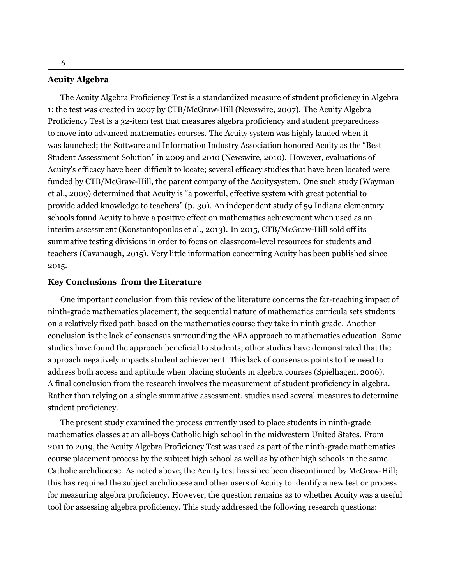#### **Acuity Algebra**

The Acuity Algebra Proficiency Test is a standardized measure of student proficiency in Algebra 1; the test was created in 2007 by CTB/McGraw-Hill([Newswire](#page-18-9), [2007\)](#page-18-9). The Acuity Algebra Proficiency Test is a 32-item test that measures algebra proficiency and student preparedness to move into advanced mathematics courses. The Acuity system was highly lauded when it was launched; the Software and Information Industry Association honored Acuity as the "Best Student Assessment Solution" in 2009 and 2010([Newswire, 2010\)](#page-18-10). However, evaluations of Acuity's efficacy have been difficult to locate; several efficacy studies that have been located were funded by CTB/McGraw-Hill, the parent company of the Acuitysystem. One such study [\(Wayman](#page--1-0) [et al.](#page--1-0), [2009](#page--1-0)) determined that Acuity is "a powerful, effective system with great potential to provide added knowledge to teachers" (p. 30). An independent study of 59 Indiana elementary schools found Acuity to have a positive effect on mathematics achievement when used as an interim assessment([Konstantopoulos et al., 2013\)](#page-18-11). In 2015, CTB/McGraw-Hill sold off its summative testing divisions in order to focus on classroom-level resources for students and teachers([Cavanaugh](#page-16-6), [2015](#page-16-6)). Very little information concerning Acuity has been published since 2015.

#### **Key Conclusions from the Literature**

One important conclusion from this review of the literature concerns the far-reaching impact of ninth-grade mathematics placement; the sequential nature of mathematics curricula sets students on a relatively fixed path based on the mathematics course they take in ninth grade. Another conclusion is the lack of consensus surrounding the AFA approach to mathematics education. Some studies have found the approach beneficial to students; other studies have demonstrated that the approach negatively impacts student achievement. This lack of consensus points to the need to address both access and aptitude when placing students in algebra courses [\(Spielhagen, 2006\)](#page-18-3). A final conclusion from the research involves the measurement of student proficiency in algebra. Rather than relying on a single summative assessment, studies used several measures to determine student proficiency.

The present study examined the process currently used to place students in ninth-grade mathematics classes at an all-boys Catholic high school in the midwestern United States. From 2011 to 2019, the Acuity Algebra Proficiency Test was used as part of the ninth-grade mathematics course placement process by the subject high school as well as by other high schools in the same Catholic archdiocese. As noted above, the Acuity test has since been discontinued by McGraw-Hill; this has required the subject archdiocese and other users of Acuity to identify a new test or process for measuring algebra proficiency. However, the question remains as to whether Acuity was a useful tool for assessing algebra proficiency. This study addressed the following research questions: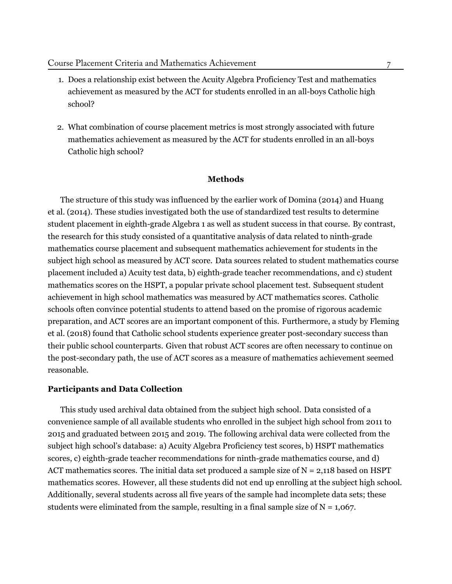- 1. Does a relationship exist between the Acuity Algebra Proficiency Test and mathematics achievement as measured by the ACT for students enrolled in an all-boys Catholic high school?
- 2. What combination of course placement metrics is most strongly associated with future mathematics achievement as measured by the ACT for students enrolled in an all-boys Catholic high school?

#### **Methods**

The structure of this study was influenced by the earlier work of [Domina](#page-16-3) ([2014\)](#page-16-3) and [Huang](#page-17-7) [et al.](#page-17-7) ([2014](#page-17-7)). These studies investigated both the use of standardized test results to determine student placement in eighth-grade Algebra 1 as well as student success in that course. By contrast, the research for this study consisted of a quantitative analysis of data related to ninth-grade mathematics course placement and subsequent mathematics achievement for students in the subject high school as measured by ACT score. Data sources related to student mathematics course placement included a) Acuity test data, b) eighth-grade teacher recommendations, and c) student mathematics scores on the HSPT, a popular private school placement test. Subsequent student achievement in high school mathematics was measured by ACT mathematics scores. Catholic schools often convince potential students to attend based on the promise of rigorous academic preparation, and ACT scores are an important component of this. Furthermore, a study by [Fleming](#page-17-10) [et al.](#page-17-10) ([2018\)](#page-17-10) found that Catholic school students experience greater post-secondary success than their public school counterparts. Given that robust ACT scores are often necessary to continue on the post-secondary path, the use of ACT scores as a measure of mathematics achievement seemed reasonable.

# **Participants and Data Collection**

This study used archival data obtained from the subject high school. Data consisted of a convenience sample of all available students who enrolled in the subject high school from 2011 to 2015 and graduated between 2015 and 2019. The following archival data were collected from the subject high school's database: a) Acuity Algebra Proficiency test scores, b) HSPT mathematics scores, c) eighth-grade teacher recommendations for ninth-grade mathematics course, and d) ACT mathematics scores. The initial data set produced a sample size of  $N = 2,118$  based on HSPT mathematics scores. However, all these students did not end up enrolling at the subject high school. Additionally, several students across all five years of the sample had incomplete data sets; these students were eliminated from the sample, resulting in a final sample size of  $N = 1,067$ .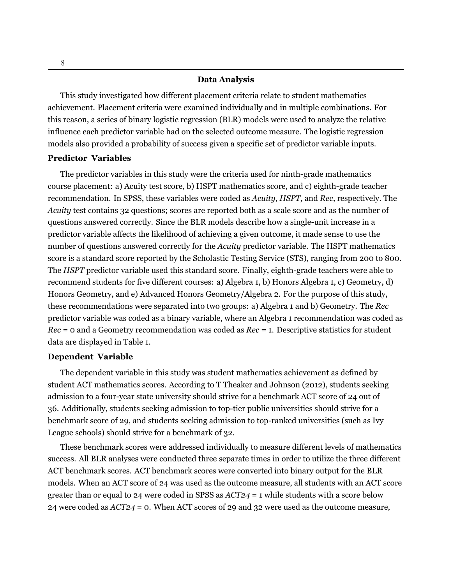#### **Data Analysis**

This study investigated how different placement criteria relate to student mathematics achievement. Placement criteria were examined individually and in multiple combinations. For this reason, a series of binary logistic regression (BLR) models were used to analyze the relative influence each predictor variable had on the selected outcome measure. The logistic regression models also provided a probability of success given a specific set of predictor variable inputs.

# **Predictor Variables**

The predictor variables in this study were the criteria used for ninth-grade mathematics course placement: a) Acuity test score, b) HSPT mathematics score, and c) eighth-grade teacher recommendation. In SPSS, these variables were coded as *Acuity*, *HSPT,* and *Rec*, respectively. The *Acuity* test contains 32 questions; scores are reported both as a scale score and as the number of questions answered correctly. Since the BLR models describe how a single-unit increase in a predictor variable affects the likelihood of achieving a given outcome, it made sense to use the number of questions answered correctly for the *Acuity* predictor variable. The HSPT mathematics score is a standard score reported by the Scholastic Testing Service (STS), ranging from 200 to 800. The *HSPT* predictor variable used this standard score. Finally, eighth-grade teachers were able to recommend students for five different courses: a) Algebra 1, b) Honors Algebra 1, c) Geometry, d) Honors Geometry, and e) Advanced Honors Geometry/Algebra 2. For the purpose of this study, these recommendations were separated into two groups: a) Algebra 1 and b) Geometry. The *Rec* predictor variable was coded as a binary variable, where an Algebra 1 recommendation was coded as *Rec* = 0 and a Geometry recommendation was coded as *Rec* = 1. Descriptive statistics for student data are displayed in Table 1.

# **Dependent Variable**

The dependent variable in this study was student mathematics achievement as defined by student ACT mathematics scores. According to T Theaker and [Johnson](#page-18-12) [\(2012\)](#page-18-12), students seeking admission to a four-year state university should strive for a benchmark ACT score of 24 out of 36. Additionally, students seeking admission to top-tier public universities should strive for a benchmark score of 29, and students seeking admission to top-ranked universities (such as Ivy League schools) should strive for a benchmark of 32.

These benchmark scores were addressed individually to measure different levels of mathematics success. All BLR analyses were conducted three separate times in order to utilize the three different ACT benchmark scores. ACT benchmark scores were converted into binary output for the BLR models. When an ACT score of 24 was used as the outcome measure, all students with an ACT score greater than or equal to 24 were coded in SPSS as *ACT24* = 1 while students with a score below 24 were coded as *ACT24* = 0. When ACT scores of 29 and 32 were used as the outcome measure,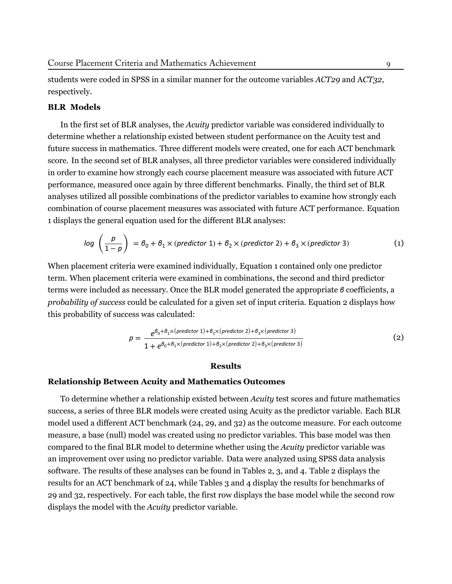students were coded in SPSS in a similar manner for the outcome variables *ACT29* and A*CT32*, respectively.

# **BLR Models**

In the first set of BLR analyses, the *Acuity* predictor variable was considered individually to determine whether a relationship existed between student performance on the Acuity test and future success in mathematics. Three different models were created, one for each ACT benchmark score. In the second set of BLR analyses, all three predictor variables were considered individually in order to examine how strongly each course placement measure was associated with future ACT performance, measured once again by three different benchmarks. Finally, the third set of BLR analyses utilized all possible combinations of the predictor variables to examine how strongly each combination of course placement measures was associated with future ACT performance. Equation 1 displays the general equation used for the different BLR analyses:

$$
log\left(\frac{p}{1-p}\right) = \theta_0 + \theta_1 \times (predictor 1) + \theta_2 \times (predictor 2) + \theta_3 \times (predictor 3)
$$
 (1)

When placement criteria were examined individually, Equation 1 contained only one predictor term. When placement criteria were examined in combinations, the second and third predictor terms were included as necessary. Once the BLR model generated the appropriate *β* coefficients, a *probability of success* could be calculated for a given set of input criteria. Equation 2 displays how this probability of success was calculated:

$$
p = \frac{e^{\beta_0 + \beta_1 \times (predictor 1) + \beta_2 \times (predictor 2) + \beta_3 \times (predictor 3)}}{1 + e^{\beta_0 + \beta_1 \times (predictor 1) + \beta_2 \times (predictor 2) + \beta_3 \times (predictor 3)}}
$$
(2)

#### **Results**

# **Relationship Between Acuity and Mathematics Outcomes**

To determine whether a relationship existed between *Acuity* test scores and future mathematics success, a series of three BLR models were created using Acuity as the predictor variable. Each BLR model used a different ACT benchmark (24, 29, and 32) as the outcome measure. For each outcome measure, a base (null) model was created using no predictor variables. This base model was then compared to the final BLR model to determine whether using the *Acuity* predictor variable was an improvement over using no predictor variable. Data were analyzed using SPSS data analysis software. The results of these analyses can be found in Tables 2, 3, and 4. Table 2 displays the results for an ACT benchmark of 24, while Tables 3 and 4 display the results for benchmarks of 29 and 32, respectively. For each table, the first row displays the base model while the second row displays the model with the *Acuity* predictor variable.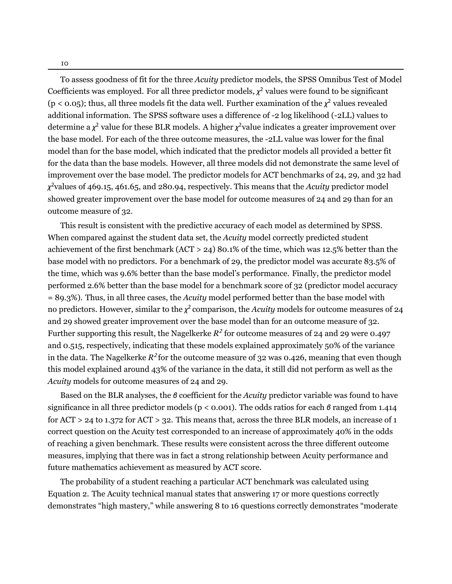To assess goodness of fit for the three *Acuity* predictor models, the SPSS Omnibus Test of Model Coefficients was employed. For all three predictor models,  $\chi^2$  values were found to be significant ( $p < 0.05$ ); thus, all three models fit the data well. Further examination of the  $\chi^2$  values revealed additional information. The SPSS software uses a difference of -2 log likelihood (-2LL) values to determine a *χ* <sup>2</sup> value for these BLR models. A higher *χ* <sup>2</sup>value indicates a greater improvement over the base model. For each of the three outcome measures, the -2LL value was lower for the final model than for the base model, which indicated that the predictor models all provided a better fit for the data than the base models. However, all three models did not demonstrate the same level of improvement over the base model. The predictor models for ACT benchmarks of 24, 29, and 32 had *χ* <sup>2</sup>values of 469.15, 461.65, and 280.94, respectively. This means that the *Acuity* predictor model showed greater improvement over the base model for outcome measures of 24 and 29 than for an outcome measure of 32.

This result is consistent with the predictive accuracy of each model as determined by SPSS. When compared against the student data set, the *Acuity* model correctly predicted student achievement of the first benchmark (ACT > 24) 80.1% of the time, which was 12.5% better than the base model with no predictors. For a benchmark of 29, the predictor model was accurate 83.5% of the time, which was 9.6% better than the base model's performance. Finally, the predictor model performed 2.6% better than the base model for a benchmark score of 32 (predictor model accuracy = 89.3%). Thus, in all three cases, the *Acuity* model performed better than the base model with no predictors. However, similar to the *χ* 2 comparison, the *Acuity* models for outcome measures of 24 and 29 showed greater improvement over the base model than for an outcome measure of 32. Further supporting this result, the Nagelkerke  $R^2$  for outcome measures of 24 and 29 were 0.497 and 0.515, respectively, indicating that these models explained approximately 50% of the variance in the data. The Nagelkerke  $R^2$  for the outcome measure of 32 was 0.426, meaning that even though this model explained around 43% of the variance in the data, it still did not perform as well as the *Acuity* models for outcome measures of 24 and 29.

Based on the BLR analyses, the *β* coefficient for the *Acuity* predictor variable was found to have significance in all three predictor models (p < 0.001). The odds ratios for each *β* ranged from 1.414 for ACT > 24 to 1.372 for ACT > 32. This means that, across the three BLR models, an increase of 1 correct question on the Acuity test corresponded to an increase of approximately 40% in the odds of reaching a given benchmark. These results were consistent across the three different outcome measures, implying that there was in fact a strong relationship between Acuity performance and future mathematics achievement as measured by ACT score.

The probability of a student reaching a particular ACT benchmark was calculated using Equation 2. The Acuity technical manual states that answering 17 or more questions correctly demonstrates "high mastery," while answering 8 to 16 questions correctly demonstrates "moderate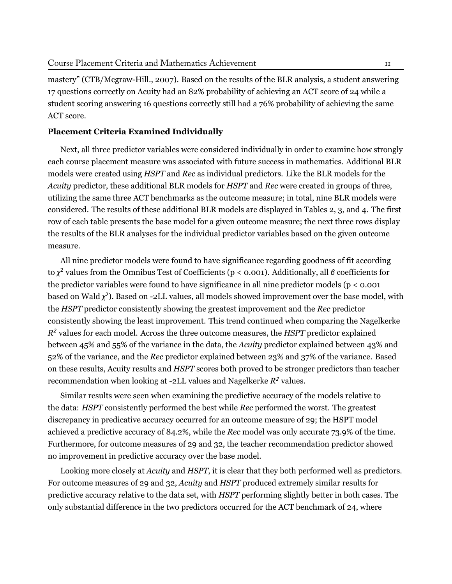mastery" ([CTB/Mcgraw-Hill.,](#page-16-7) [2007](#page-16-7)). Based on the results of the BLR analysis, a student answering 17 questions correctly on Acuity had an 82% probability of achieving an ACT score of 24 while a student scoring answering 16 questions correctly still had a 76% probability of achieving the same ACT score.

#### **Placement Criteria Examined Individually**

Next, all three predictor variables were considered individually in order to examine how strongly each course placement measure was associated with future success in mathematics. Additional BLR models were created using *HSPT* and *Rec* as individual predictors. Like the BLR models for the *Acuity* predictor, these additional BLR models for *HSPT* and *Rec* were created in groups of three, utilizing the same three ACT benchmarks as the outcome measure; in total, nine BLR models were considered. The results of these additional BLR models are displayed in Tables 2, 3, and 4. The first row of each table presents the base model for a given outcome measure; the next three rows display the results of the BLR analyses for the individual predictor variables based on the given outcome measure.

All nine predictor models were found to have significance regarding goodness of fit according to *χ* <sup>2</sup> values from the Omnibus Test of Coefficients (p < 0.001). Additionally, all *β* coefficients for the predictor variables were found to have significance in all nine predictor models ( $p < 0.001$ ) based on Wald *χ*<sup>2</sup>). Based on -2LL values, all models showed improvement over the base model, with the *HSPT* predictor consistently showing the greatest improvement and the *Rec* predictor consistently showing the least improvement. This trend continued when comparing the Nagelkerke *R* <sup>2</sup> values for each model. Across the three outcome measures, the *HSPT* predictor explained between 45% and 55% of the variance in the data, the *Acuity* predictor explained between 43% and 52% of the variance, and the *Rec* predictor explained between 23% and 37% of the variance. Based on these results, Acuity results and *HSPT* scores both proved to be stronger predictors than teacher recommendation when looking at -2LL values and Nagelkerke *R* <sup>2</sup> values.

Similar results were seen when examining the predictive accuracy of the models relative to the data: *HSPT* consistently performed the best while *Rec* performed the worst. The greatest discrepancy in predicative accuracy occurred for an outcome measure of 29; the HSPT model achieved a predictive accuracy of 84.2%, while the *Rec* model was only accurate 73.9% of the time. Furthermore, for outcome measures of 29 and 32, the teacher recommendation predictor showed no improvement in predictive accuracy over the base model.

Looking more closely at *Acuity* and *HSPT*, it is clear that they both performed well as predictors. For outcome measures of 29 and 32, *Acuity* and *HSPT* produced extremely similar results for predictive accuracy relative to the data set, with *HSPT* performing slightly better in both cases. The only substantial difference in the two predictors occurred for the ACT benchmark of 24, where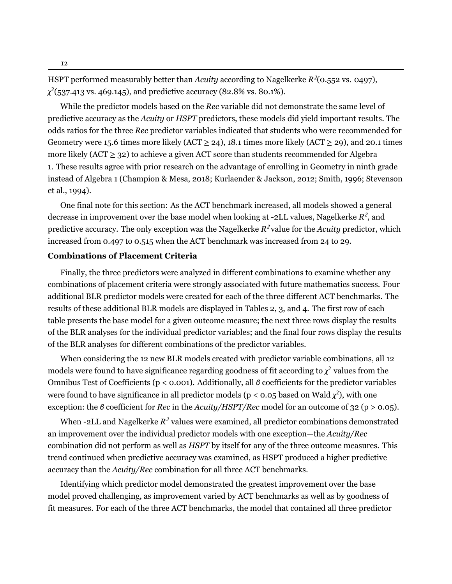HSPT performed measurably better than *Acuity* according to Nagelkerke *R* 2 (0.552 vs. 0497), *χ* 2 (537.413 vs. 469.145), and predictive accuracy (82.8% vs. 80.1%).

While the predictor models based on the *Rec* variable did not demonstrate the same level of predictive accuracy as the *Acuity* or *HSPT* predictors, these models did yield important results. The odds ratios for the three *Rec* predictor variables indicated that students who were recommended for Geometry were 15.6 times more likely (ACT  $\geq$  24), 18.1 times more likely (ACT  $\geq$  29), and 20.1 times more likely (ACT  $\geq$  32) to achieve a given ACT score than students recommended for Algebra 1. These results agree with prior research on the advantage of enrolling in Geometry in ninth grade instead of Algebra 1 [\(Champion](#page-16-0) & Mesa, [2018](#page-16-0); [Kurlaender](#page-18-5) & Jackson, [2012](#page-18-5); [Smith](#page-18-0), [1996](#page-18-0); [Stevenson](#page-18-1) et [al.](#page-18-1), [1994\)](#page-18-1).

One final note for this section: As the ACT benchmark increased, all models showed a general decrease in improvement over the base model when looking at -2LL values, Nagelkerke  $R^2$ , and predictive accuracy. The only exception was the Nagelkerke *R* 2 value for the *Acuity* predictor, which increased from 0.497 to 0.515 when the ACT benchmark was increased from 24 to 29.

# **Combinations of Placement Criteria**

Finally, the three predictors were analyzed in different combinations to examine whether any combinations of placement criteria were strongly associated with future mathematics success. Four additional BLR predictor models were created for each of the three different ACT benchmarks. The results of these additional BLR models are displayed in Tables 2, 3, and 4. The first row of each table presents the base model for a given outcome measure; the next three rows display the results of the BLR analyses for the individual predictor variables; and the final four rows display the results of the BLR analyses for different combinations of the predictor variables.

When considering the 12 new BLR models created with predictor variable combinations, all 12 models were found to have significance regarding goodness of fit according to  $\chi^2$  values from the Omnibus Test of Coefficients (p < 0.001). Additionally, all *β* coefficients for the predictor variables were found to have significance in all predictor models (p < 0.05 based on Wald  $\chi^2$ ), with one exception: the *β* coefficient for *Rec* in the *Acuity/HSPT/Rec* model for an outcome of 32 (p > 0.05).

When -2LL and Nagelkerke *R* <sup>2</sup> values were examined, all predictor combinations demonstrated an improvement over the individual predictor models with one exception—the *Acuity/Rec* combination did not perform as well as *HSPT* by itself for any of the three outcome measures. This trend continued when predictive accuracy was examined, as HSPT produced a higher predictive accuracy than the *Acuity/Rec* combination for all three ACT benchmarks.

Identifying which predictor model demonstrated the greatest improvement over the base model proved challenging, as improvement varied by ACT benchmarks as well as by goodness of fit measures. For each of the three ACT benchmarks, the model that contained all three predictor

12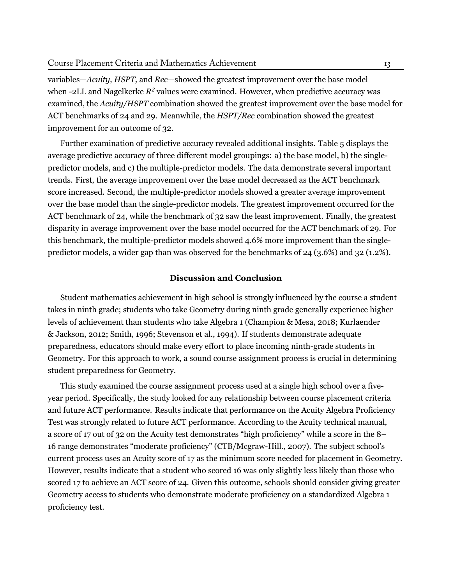variables—*Acuity, HSPT,* and *Rec*—showed the greatest improvement over the base model when -2LL and Nagelkerke  $R^2$  values were examined. However, when predictive accuracy was examined, the *Acuity/HSPT* combination showed the greatest improvement over the base model for ACT benchmarks of 24 and 29. Meanwhile, the *HSPT/Rec* combination showed the greatest improvement for an outcome of 32.

Further examination of predictive accuracy revealed additional insights. Table 5 displays the average predictive accuracy of three different model groupings: a) the base model, b) the singlepredictor models, and c) the multiple-predictor models. The data demonstrate several important trends. First, the average improvement over the base model decreased as the ACT benchmark score increased. Second, the multiple-predictor models showed a greater average improvement over the base model than the single-predictor models. The greatest improvement occurred for the ACT benchmark of 24, while the benchmark of 32 saw the least improvement. Finally, the greatest disparity in average improvement over the base model occurred for the ACT benchmark of 29. For this benchmark, the multiple-predictor models showed 4.6% more improvement than the singlepredictor models, a wider gap than was observed for the benchmarks of 24 (3.6%) and 32 (1.2%).

# **Discussion and Conclusion**

Student mathematics achievement in high school is strongly influenced by the course a student takes in ninth grade; students who take Geometry during ninth grade generally experience higher levels of achievement than students who take Algebra 1 ([Champion](#page-16-0) & Mesa, [2018](#page-16-0); [Kurlaender](#page-18-5) & [Jackson](#page-18-5), [2012](#page-18-5); [Smith](#page-18-0), [1996](#page-18-0); [Stevenson](#page-18-1) et al., [1994](#page-18-1)). If students demonstrate adequate preparedness, educators should make every effort to place incoming ninth-grade students in Geometry. For this approach to work, a sound course assignment process is crucial in determining student preparedness for Geometry.

This study examined the course assignment process used at a single high school over a fiveyear period. Specifically, the study looked for any relationship between course placement criteria and future ACT performance. Results indicate that performance on the Acuity Algebra Proficiency Test was strongly related to future ACT performance. According to the Acuity technical manual, a score of 17 out of 32 on the Acuity test demonstrates "high proficiency" while a score in the 8– 16 range demonstrates "moderate proficiency" [\(CTB/Mcgraw-Hill.](#page-16-7), [2007\)](#page-16-7). The subject school's current process uses an Acuity score of 17 as the minimum score needed for placement in Geometry. However, results indicate that a student who scored 16 was only slightly less likely than those who scored 17 to achieve an ACT score of 24. Given this outcome, schools should consider giving greater Geometry access to students who demonstrate moderate proficiency on a standardized Algebra 1 proficiency test.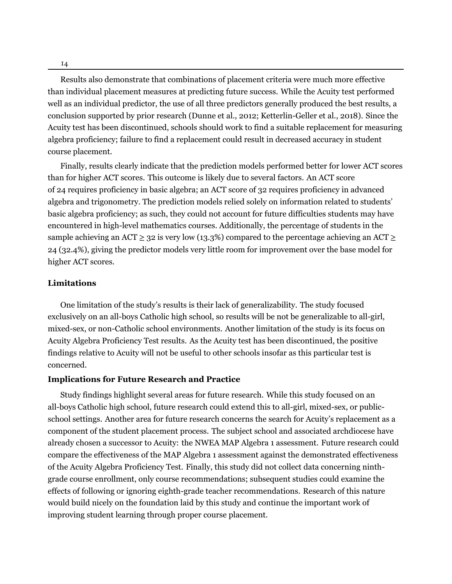Results also demonstrate that combinations of placement criteria were much more effective than individual placement measures at predicting future success. While the Acuity test performed well as an individual predictor, the use of all three predictors generally produced the best results, a conclusion supported by prior research ([Dunne](#page-17-6) et al., [2012](#page-17-6); [Ketterlin-Geller](#page-17-8) et al., [2018\)](#page-17-8). Since the Acuity test has been discontinued, schools should work to find a suitable replacement for measuring algebra proficiency; failure to find a replacement could result in decreased accuracy in student course placement.

Finally, results clearly indicate that the prediction models performed better for lower ACT scores than for higher ACT scores. This outcome is likely due to several factors. An ACT score of 24 requires proficiency in basic algebra; an ACT score of 32 requires proficiency in advanced algebra and trigonometry. The prediction models relied solely on information related to students' basic algebra proficiency; as such, they could not account for future difficulties students may have encountered in high-level mathematics courses. Additionally, the percentage of students in the sample achieving an ACT  $\geq$  32 is very low (13.3%) compared to the percentage achieving an ACT  $\geq$ 24 (32.4%), giving the predictor models very little room for improvement over the base model for higher ACT scores.

# **Limitations**

One limitation of the study's results is their lack of generalizability. The study focused exclusively on an all-boys Catholic high school, so results will be not be generalizable to all-girl, mixed-sex, or non-Catholic school environments. Another limitation of the study is its focus on Acuity Algebra Proficiency Test results. As the Acuity test has been discontinued, the positive findings relative to Acuity will not be useful to other schools insofar as this particular test is concerned.

#### **Implications for Future Research and Practice**

Study findings highlight several areas for future research. While this study focused on an all-boys Catholic high school, future research could extend this to all-girl, mixed-sex, or publicschool settings. Another area for future research concerns the search for Acuity's replacement as a component of the student placement process. The subject school and associated archdiocese have already chosen a successor to Acuity: the NWEA MAP Algebra 1 assessment. Future research could compare the effectiveness of the MAP Algebra 1 assessment against the demonstrated effectiveness of the Acuity Algebra Proficiency Test. Finally, this study did not collect data concerning ninthgrade course enrollment, only course recommendations; subsequent studies could examine the effects of following or ignoring eighth-grade teacher recommendations. Research of this nature would build nicely on the foundation laid by this study and continue the important work of improving student learning through proper course placement.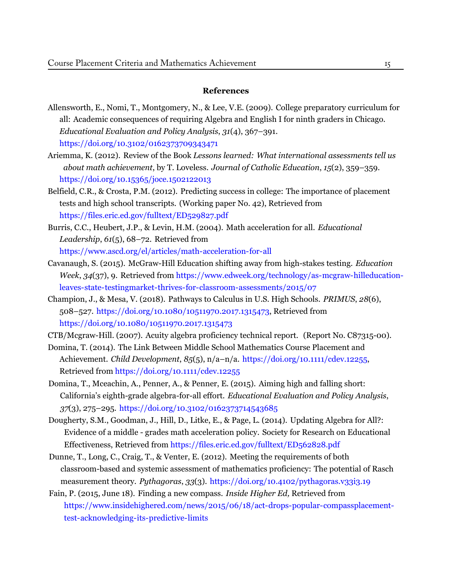# **References**

- Allensworth, E., Nomi, T., Montgomery, N., & Lee, V.E. (2009). College preparatory curriculum for all: Academic consequences of requiring Algebra and English I for ninth graders in Chicago. *Educational Evaluation and Policy Analysis*, *31*(4), 367–391. https://doi.org/10.3102/0162373709343471
- Ariemma, K. (2012). Review of the Book *Lessons learned: What international assessments tell us about math achievement*, by T. Loveless. *Journal of Catholic Education*, *15*(2), 359–359. <https://doi.org/10.15365/joce.1502122013>
- Belfield, C.R., & Crosta, P.M. (2012). Predicting success in college: The importance of placement tests and high school transcripts. (Working paper No. 42), Retrieved from https://files.eric.ed.gov/fulltext/ED529827.pdf
- <span id="page-16-2"></span>Burris, C.C., Heubert, J.P., & Levin, H.M. (2004). Math acceleration for all. *Educational Leadership*, *61*(5), 68–72. [Retrieved from](https://www.ascd.org/el/articles/math - acceleration - for - all) [https://www.ascd.org/el/articles/math-acceleration-for-all](https://www.ascd.org/el/articles/math - acceleration - for - all)
- Cavanaugh, S. (2015). McGraw-Hill Education shifting away from high-stakes testing. *Education Week*, *34*[\(37\), 9. Retrieved from](https://doi.org/10.3102/0162373709343471) https://www.edweek.org/technology/as-mcgraw-hilleducationleaves-state-testingmarket-thrives-for-classroom-assessments/2015/07
- <span id="page-16-1"></span>Champion, J., & Mesa, V. (2018). Pathways to Calculus in U.S. High Schools. *PRIMUS*, *28*(6), 508–527. <https://doi.org/10.1080/10511970.2017.1315473>, [Retrieved](https://dx.doi.org/10.1080/10511970.2017.1315473) from [https://doi.org/10.1080/10511970.2017.1315473](https://dx.doi.org/10.1080/10511970.2017.1315473)

<span id="page-16-5"></span>CTB/Mcgraw-Hill. (2007). Acuity algebra proficiency technic[al report. \(Repo](https://files.eric.ed.gov/fulltext/ED529827.pdf)rt No. C87315-00).

- <span id="page-16-4"></span>Do[mina, T. \(2014\). The Link Between Middle Scho](https://files.eric.ed.gov/fulltext/ED529827.pdf)ol Mathematics Course Placement and Achievement. *Child Development*, *85*(5), n/a–n/a. [https://doi.org/10.1111/cdev.12255,](https://doi.org/10.1111/cdev.12255) Retrieved from https://doi.org/10.1111/cdev.12255
- <span id="page-16-6"></span>Domina, T., Mceachin, A., Penner, A., & Penner, E. (2015). Aiming high and falling short: California's eighth-grade algebra-for-all effort. *Educational Evaluation and Policy Analysis*, *37*(3), 275–295. [https://doi.org/10.3102/0162373714543685](https://www.edweek.org/technology/as-mcgraw-hilleducation-leaves-state-testingmarket-thrives-for-classroom-assessments/2015/07)
- <span id="page-16-0"></span>Dougherty, S.M., [Goodman,](https://www.edweek.org/technology/as-mcgraw-hilleducation-leaves-state-testingmarket-thrives-for-classroom-assessments/2015/07) J., Hill, D., Litke, E., & Page, L. (2014). Updating Algebra for All?: Evidence of a middle - grades math acceleration policy. Society for Research on Educational Effectiveness, Retrieved from https://files.eric.ed.gov/fulltext/ED562828.pdf
- <span id="page-16-7"></span>Dunne, T., Long, C., Craig, T., & Venter, E. (2012). Meeting the requirements of both classroom-based and systemic assessment of mathematics proficiency: The potential of Rasch measurement theory. *Pythagoras*, *33*(3). https://doi.org/10.4102/pythagoras.v33i3.19
- <span id="page-16-3"></span>Fain, P. (2015, June 18). Finding a new compass. *Inside Higher Ed,* Retrieved from [https://www.insidehighered.com/news/2015/06/18/](https://dx.doi.org/10.1111/cdev.12255)act-drops-popular-compassplacementtest-acknowledging-its-predictive-limits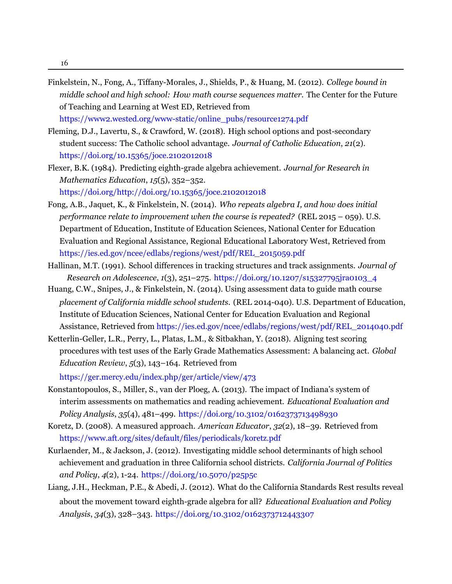<span id="page-17-2"></span>Finkelstein, N., Fong, A., Tiffany-Morales, J., Shields, P., & Huang, M. (2012). *College bound in middle school and high school: How math course sequences matter.* The Center for the Future of Teaching and Learning at West ED, [Retrieved](https://www2.wested.org/www-static/online_pubs/resource1274.pdf) from

<span id="page-17-1"></span>https://www2.wested.org/www-static/online\_pubs/resource1274.pdf

- <span id="page-17-6"></span>Fleming, D.J., Lavertu, S., & Crawford, W. (2018). High school options and post-secondary student success: The Catholic school advantage. *Journal of Catholic Education*, *21*(2). <https://doi.org/10.15365/joce.2102012018>
- <span id="page-17-5"></span>Flexer, B.K. (1984). Predicting eighth-grade algebra achievement. *Journal for Research in Mathematics Education*, *15*(5), 352–352.

https://doi.org/http://doi.org/10.15365/joce.2102012018

- <span id="page-17-0"></span>Fong, A.B., Jaquet, K., & Finkelstein, N. (2014). *Who repeats algebra I, and how does initial performance relate to improvement when the course is repeated?* (REL 2015 – 059). U.S. Department of Education, Institute of Education Sciences, National Center for Education Evaluation and Regional Assistance, Regional Educational Laboratory West, Retrieved from https://ies.ed.gov/ncee/edlabs/regions/west/pdf/REL\_2015059.pdf
- <span id="page-17-10"></span>Hallinan, M.T. (1991). School [differences](https://www2.wested.org/www-static/online_pubs/resource1274.pdf) in tracking structures and track assignments. *Journal of Research on Adolescence*, *1*(3), 251–275. [https://doi.org/10.1207/s15327795jra0103\\_4](https://doi.org/10.1207/s15327795jra0103_4)
- <span id="page-17-4"></span>*placement of California middle school students.* (REL 2014-040). U.S. Department of Education, Institute of Education Sciences, National Center for Education Evaluation and Regional Assistance, Retrieved from https://ies.ed.gov/ncee/edlabs/regions/west/pdf/REL\_2014040.pdf Huang, C.W., Snipes, J., & Finkelstein, N. (2014). Using assessment data to guide math course
- <span id="page-17-9"></span>Ke[tterlin-Geller, L.R., Perry, L., Platas, L.M., & Sitbakhan, Y. \(](https://doi.org/http://doi.org/10.15365/joce.2102012018)2018). Aligning test scoring procedures with test uses of the Early Grade Mathematics Assessment: A balancing act. *Global Education Review*, *5*(3), 143–164. Retrieved from

https://ger.mercy.edu/index.php/ger/article/view/473

- <span id="page-17-3"></span>Konstantopoulos, S., Miller, S., van der Ploeg, A. (2013). The impact of Indiana's [system](https://ies.ed.gov/ncee/edlabs/regions/west/pdf/REL_2015059.pdf) of interim assessments on mathematics and reading [achievement.](https://ies.ed.gov/ncee/edlabs/regions/west/pdf/REL_2015059.pdf) *Educational Evaluation and Policy Analysis*, *35*(4), 481–499. https://doi.org/10.3102/0162373713498930
- <span id="page-17-7"></span>Koretz, D. (2008). A measured approach. *American Educator*, *32*(2), 18–39. Retrieved from https://www.aft.org/sites/default/files/periodicals/koretz.pdf
- Kurlaender, M., & Jackson, J. (2012). Investigating middle school determinants of high school achievement and graduation in three California school districts. *California Journal of Politics and Policy*, *4*(2), 1-24. [https://doi.org/10.5070/p25p5c](https://ies.ed.gov/ncee/edlabs/regions/west/pdf/REL_2014040.pdf)
- <span id="page-17-8"></span>Liang, J.H., Heckman, P.E., & Abedi, J. (2012). What do the California Standards Rest results reveal about the movement toward eight[h-grade algebra](https://ger.mercy.edu/index.php/ger/article/view/473) for all? *Educational Evaluation and Policy Analysis*, *34*(3), 328–343. https://doi.org/10.3102/0162373712443307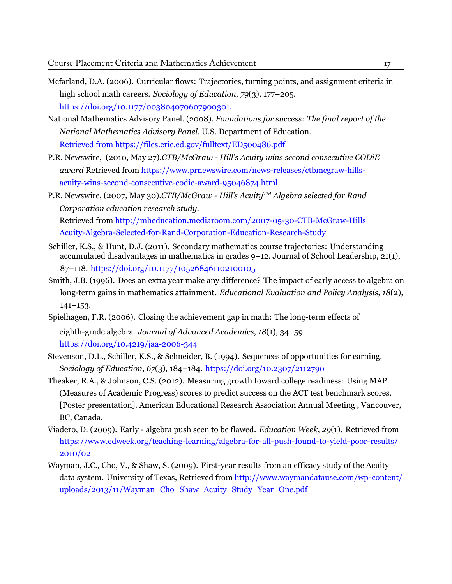- <span id="page-18-11"></span>Mcfarland, D.A. (2006). Curricular flows: Trajectories, turning points, and assignment criteria in high school math careers. *Sociology of Education*, *79*(3), 177–205. https://doi.org/10.1177/003804070607900301.
- <span id="page-18-7"></span>National Mathematics Advisory Panel. (2008). *Foundations for success: The final report of the National Mathematics Advisory Panel.* U.S. Department of Education. [Retrieved from https://files.eric.ed.gov/fulltext/ED500486.pdf](https://doi.org/10.1177/003804070607900301)
- <span id="page-18-5"></span>P.R. Newswire, (2010, May 27).*CTB/McGraw - Hill's Acuity wins second consecutive CODiE award* Retrieved from https://www.prnewswire.com/news-releases/ctbmcgraw-hillsacuity-wins-second-consecutive-codie-award-95046874.html
- <span id="page-18-4"></span><span id="page-18-2"></span>P.R. Newswire, (2007, May 30).*CTB/McGraw - Hill's AcuityTM Algebra selected for Rand Corporation education research study.* [Retrieved from http://mheducation.mediaroom.com/2007-05-30-CTB-McGraw-Hills](http://mheducation.mediaroom.com/) Acuity-Algebra-Selected-for-Rand-Corporation-Education-Research-Study
- <span id="page-18-10"></span>Schiller, K.S., & Hunt, D.J. (2011). Secondary mathematics course trajectories: Understanding accumulated disadvantages in mathematics in grades 9–12. Journal of School Leadership, 21(1), 87–118. <https://doi.org/10.1177/105268461102100105>
- <span id="page-18-9"></span>Smith, J.B. (1996). Does an extra year make any difference? The impact of early access to algebra on long-term gains in mathematics attainment. *Educational Evaluation and Policy Analysis*, *18*(2),  $141 - 153.$
- <span id="page-18-6"></span>Spielhagen, F.R. (2006). Closing the achievement gap in math: The long-term effects of eighth-grade algebra. *[Journal of Advanced Acade](https://www.prnewswire.com/news-releases/ctbmcgraw-hills-acuity-wins-second-consecutive-codie-award-95046874.html)mics*, *18*(1), 34–59. <https://doi.org/10.4219/jaa-2006-344>
- <span id="page-18-8"></span>Stevenson, D.L., Schiller, K.S., & Schneider, B. (1994). Sequences of opportunities for earning. *Sociology of Education*, *67*(3), 184–184. <https://doi.org/10.2307/2112790>
- <span id="page-18-0"></span>Theaker, R.A., & Johnson, C.S. (2012). Measuring growth toward college readiness: Using MAP (Measures of Academic Progress) scores to predict success on the ACT test benchmark scores. [Poster presentation]. American Educational Research Association Annual Meeting , Vancouver, BC, Canada.
- <span id="page-18-3"></span>Viadero, D. (2009). Early - algebra push seen to be flawed. *Education Week*, *29*(1). Retrieved from https://www.edweek.org/teaching-learning/algebra-for-all-push-found-to-yield-poor-results/ 2010/02
- <span id="page-18-12"></span><span id="page-18-1"></span>Wayman, J.C., Cho, V., & Shaw, S. (2009). First-year results from an efficacy study of the Acuity data system. University of Texas, Retrieved from http://www.waymandatause.com/wp-content/ uploads/2013/11/Wayman\_Cho\_Shaw\_Acuity\_Study\_Year\_One.pdf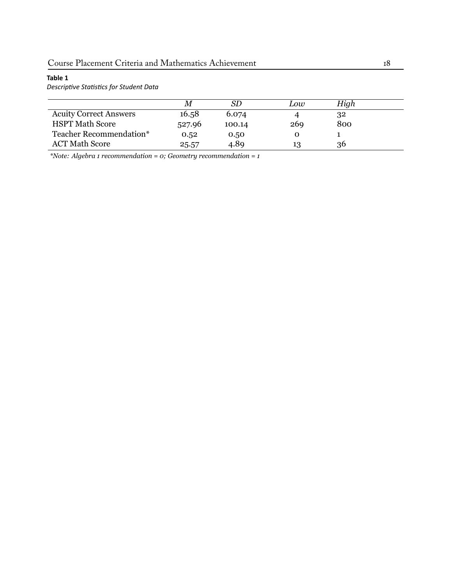# **Table 1**

*DescripƟve StaƟsƟcs for Student Data*

|                               | M      | SD     | Low | High |
|-------------------------------|--------|--------|-----|------|
| <b>Acuity Correct Answers</b> | 16.58  | 6.074  |     | 32   |
| <b>HSPT Math Score</b>        | 527.96 | 100.14 | 269 | 800  |
| Teacher Recommendation*       | 0.52   | 0.50   | O   |      |
| <b>ACT Math Score</b>         | 25.57  | 4.89   | 13  | 36   |

*\*Note: Algebra 1 recommendation = 0; Geometry recommendation = 1*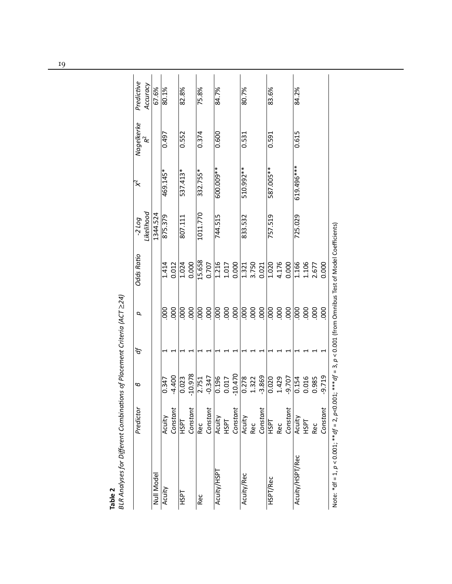| nalyses for Different Combinations of Placement Criteria (ACT >24)<br>t.<br>הר ביו ביו בינוי |
|----------------------------------------------------------------------------------------------|
| BLR Ai<br>$\overline{a}$                                                                     |

|                                                                                                                            | Predictor      | 6                  | ď |                  | <b>Odds Ratio</b>     | $-2$ Log   | ҉          |                  | Predictive |
|----------------------------------------------------------------------------------------------------------------------------|----------------|--------------------|---|------------------|-----------------------|------------|------------|------------------|------------|
|                                                                                                                            |                |                    |   | p                |                       |            |            | Nagelkerke $R^2$ |            |
|                                                                                                                            |                |                    |   |                  |                       | Likelihood |            |                  | Accuracy   |
| Null Model                                                                                                                 |                |                    |   |                  |                       | 1344.524   |            |                  | 67.6%      |
| Acuity                                                                                                                     | Acuity         | 0.347              |   | 000              |                       | 875.379    | 469.145*   | 0.497            | 80.1%      |
|                                                                                                                            | Constant       | $-4.400$           |   | 000              | 1.414<br>0.012        |            |            |                  |            |
| <b>HSPT</b>                                                                                                                | <b>HSPT</b>    | 0.023              |   | 000              | $1.\overline{024}$    | 807.111    | 537.413*   | 0.552            | 82.8%      |
|                                                                                                                            | Constant       | $-10.978$          |   | 000              | 0.000                 |            |            |                  |            |
| Rec                                                                                                                        | Rec            | 2.751              |   | $\overline{000}$ | 15.658                | 1011.770   | 332.755*   | 0.374            | 75.8%      |
|                                                                                                                            | Constant       | $-0.347$           |   | 000              | 0.707                 |            |            |                  |            |
| Acuity/HSPT                                                                                                                | Acuity         | 0.196              |   | $\overline{50}$  |                       | 744.515    | 600.009**  | 0.600            | 84.7%      |
|                                                                                                                            | <b>HSPT</b>    |                    |   |                  |                       |            |            |                  |            |
|                                                                                                                            | Constant       | $0.017$<br>-10.470 |   | 88               | $\frac{1.216}{1.017}$ |            |            |                  |            |
| Acuity/Rec                                                                                                                 | Acuity         | 0.278              |   | $\overline{000}$ | $\frac{1.321}{3.750}$ | 833.532    | 510.992 ** | 0.531            | 80.7%      |
|                                                                                                                            | Rec            | 1.322              |   | 000.             |                       |            |            |                  |            |
|                                                                                                                            | Constant       | $-3.869$           |   | 000              |                       |            |            |                  |            |
| HSPT/Rec                                                                                                                   | <b>HSPT</b>    | 0.020              |   |                  |                       | 757.519    | 587.005 ** | 0.591            | 83.6%      |
|                                                                                                                            | Rec            | 1.429              |   | $\frac{80}{100}$ | 1.020<br>4.176        |            |            |                  |            |
|                                                                                                                            | Constant       | $-9.707$           |   | 000              | 0.000                 |            |            |                  |            |
| Acuity/HSPT/Rec                                                                                                            |                | 0.154              |   | 000              | 1.166                 | 725.029    | 619.496*** | 0.615            | 84.2%      |
|                                                                                                                            | Acuity<br>HSPT | 0.016              |   | 000              | 1.106                 |            |            |                  |            |
|                                                                                                                            | Rec            | 0.985              |   | 000              | 2.677                 |            |            |                  |            |
|                                                                                                                            | Constant       | $-9.719$           |   | $8^{\circ}$      | 0.000                 |            |            |                  |            |
| Note: *df = 1, $\rho$ < 0.001; **df = 2, $\rho$ <0.001;***df = 3, $\rho$ < 0.001 (from Omnibus Test of Model Coefficients) |                |                    |   |                  |                       |            |            |                  |            |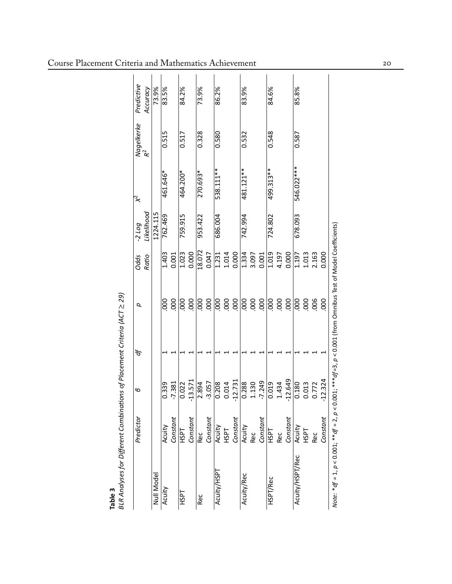|                 | Predictor    | Φ                       | ď | p                 | Odds           | $-2$ Log   | ҉          |                              | Predictive |
|-----------------|--------------|-------------------------|---|-------------------|----------------|------------|------------|------------------------------|------------|
|                 |              |                         |   |                   | Ratio          | Likelihood |            | Nagelkerke<br>R <sup>2</sup> | Accuracy   |
| Null Model      |              |                         |   |                   |                | 1224.115   |            |                              | 73.9%      |
| Acuity          | Acuity       | 0.339                   |   | $\frac{0}{2}$     | 1.403          | 762.469    | 461.646*   | 0.515                        | 83.5%      |
|                 | Constant     | $-7.381$                |   | 000               | 0.001          |            |            |                              |            |
| <b>LISPL</b>    | <b>LISH</b>  | $\overline{0.022}$      |   | 000               | 1.023          | 759.915    | 464.200*   | 0.517                        | 84.2%      |
|                 | Constant     | $-13.571$               |   | 000               | 0.000          |            |            |                              |            |
| Rec             | Rec          | $\frac{2.894}{ }$       |   | 000               | 18.072         | 953.422    | 270.693*   | 0.328                        | 73.9%      |
|                 | Constant     | $-3.057$                |   | .000              | 0.047          |            |            |                              |            |
| Acuity/HSPT     | Acuity       | $\frac{0.208}{ }$       |   |                   |                | 686.004    | 538.111**  | 0.580                        | 86.2%      |
|                 | <b>LISPL</b> | 0.014                   |   | $\frac{1}{6}$ g g | 1.231<br>1.014 |            |            |                              |            |
|                 | Constant     | $-12.731$               |   |                   | 0.000          |            |            |                              |            |
| Acuity/Rec      | Acuity       | 0.288                   |   |                   | 1.334          | 742.994    | 481.121**  | 0.532                        | 83.9%      |
|                 | Rec          | 1.130                   |   | 000<br>000<br>000 | 3.097          |            |            |                              |            |
|                 | Constant     | $-7.249$                |   |                   | 0.001          |            |            |                              |            |
| HSPT/Rec        | <b>HSPT</b>  | 0.019                   |   |                   | 1.019          | 724.802    | 499.313**  | 0.548                        | 84.6%      |
|                 | Rec          | 1.434                   |   | 8880              | 4.197          |            |            |                              |            |
|                 | Constant     | $\frac{-12.649}{0.180}$ |   |                   | 0.000          |            |            |                              |            |
| Acuity/HSPT/Rec | Acuity       |                         |   |                   | 1.197          | 678.093    | 546.022*** | 0.587                        | 85.8%      |
|                 | HSPT         | 0.013                   |   | 888               | 1.013          |            |            |                              |            |
|                 | Rec          | 0.772                   |   |                   | 2.163          |            |            |                              |            |
|                 | Constant     | 12.324                  |   | 80                | 0.000          |            |            |                              |            |

\*  $df$  = 3,  $\rho$  < 0.001 (from Omnibus Test of Model Coefficients) *Note:* \**df* = 1, *p* < 0.001; \*\**df* = 2, *p* < 0.001; \*\*\**df*=3, *p* < 0.001 (from Omnibus Test of Model Coefficients) Note: "  $df = 1$ ,  $p < 0.001$ ; " "  $df = 2$ ,  $p < 0.001$ ; "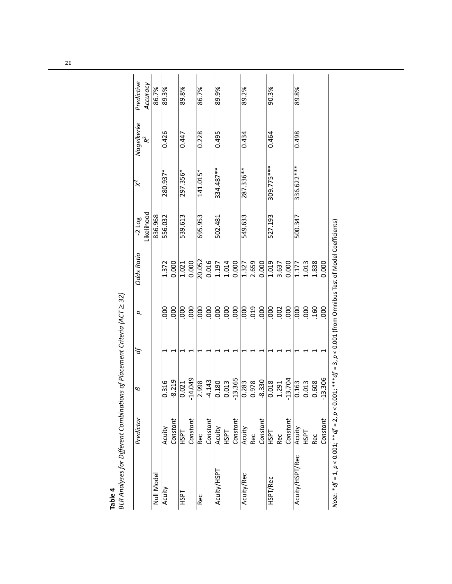|                                                                                                                       | Predictor    | 9                  | ď | p                                         | Odds Ratio              | $-2$ Log   | ҉           | Nagelkerke | Predictive |
|-----------------------------------------------------------------------------------------------------------------------|--------------|--------------------|---|-------------------------------------------|-------------------------|------------|-------------|------------|------------|
|                                                                                                                       |              |                    |   |                                           |                         | Likelihood |             | ά          | Accuracy   |
| Null Model                                                                                                            |              |                    |   |                                           |                         | 836.968    |             |            | 86.7%      |
| Acuity                                                                                                                | Acuity       | 0.316              |   | 000                                       |                         | 556.032    | 280.937*    | 0.426      | 89.3%      |
|                                                                                                                       | Constant     | $-8.219$           |   | 000                                       | 1.372<br>0.000          |            |             |            |            |
| <b>LISPT</b>                                                                                                          | <b>HSPT</b>  | 0.021              |   | $\overline{000}$                          | 1.021                   | 539.613    | 297.356*    | 0.447      | 89.8%      |
|                                                                                                                       | Constant     | $-14.049$          |   | 000                                       | 0.000                   |            |             |            |            |
| Rec                                                                                                                   | Rec          | 2.998              |   | 000                                       | 20.052                  | 695.953    | 141.015*    | 0.228      | 86.7%      |
|                                                                                                                       | Constant     | $-4.143$           |   | 000                                       | 0.016                   |            |             |            |            |
| Acuity/HSPT                                                                                                           | Acuity       | 0.180              |   |                                           |                         | 502.481    | $334.487**$ | 0.495      | 89.9%      |
|                                                                                                                       | <b>HSPT</b>  | 0.013              |   |                                           |                         |            |             |            |            |
|                                                                                                                       | Constant     | $-13.365$          |   | $\frac{8}{6}$ $\frac{8}{6}$ $\frac{8}{6}$ | 1.197<br>1.014<br>0.000 |            |             |            |            |
| Acuity/Rec                                                                                                            | Acuity       | 0.283              |   | 000                                       |                         | 549.633    | 287.336 **  | 0.434      | 89.2%      |
|                                                                                                                       | Rec          | 0.978              |   | 019<br>000                                | 1.327<br>2.659<br>0.000 |            |             |            |            |
|                                                                                                                       | Constant     | $-8.330$           |   |                                           |                         |            |             |            |            |
| HSPT/Rec                                                                                                              | 지<br>모       |                    |   |                                           |                         | 527.193    | 309.775***  | 0.464      | 90.3%      |
|                                                                                                                       | Rec          | 1.291              |   | $\frac{1}{6}$ 8 8                         |                         |            |             |            |            |
|                                                                                                                       | Constant     | $-13.704$          |   |                                           | $\frac{1019}{3.637}$    |            |             |            |            |
| Acuity/HSPT/Rec                                                                                                       | Acuity       | $\overline{0.163}$ |   |                                           | 1.177                   | 500.347    | 336.622 *** | 0.498      | 89.8%      |
|                                                                                                                       | <b>LISPL</b> | 0.013              |   | 88                                        | 1.013                   |            |             |            |            |
|                                                                                                                       | Rec          | 0.608              |   | .160                                      | 1.838                   |            |             |            |            |
|                                                                                                                       | Constant     | 13.306             |   | 000                                       | 0.000                   |            |             |            |            |
| Note: *df = 1, $p < 0.001$ ; **df = 2, $p < 0.001$ ; ***df = 3, $p < 0.001$ (from Omnibus Test of Model Coefficients) |              |                    |   |                                           |                         |            |             |            |            |